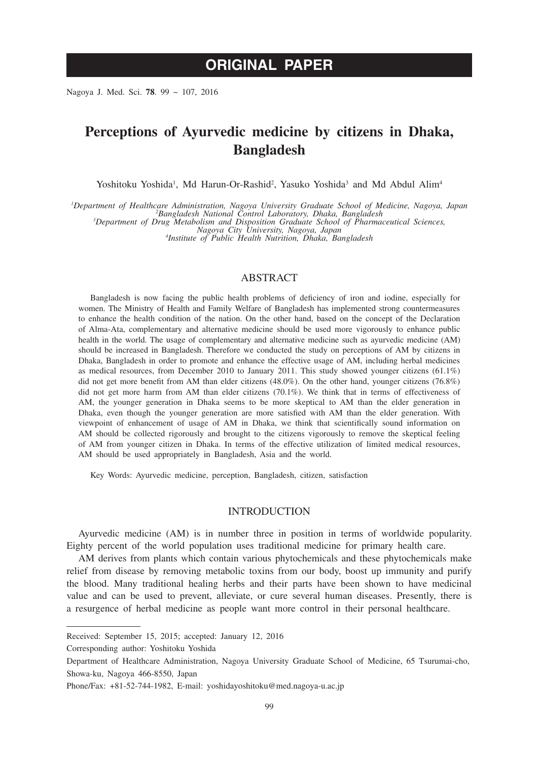# **ORIGINAL PAPER**

Nagoya J. Med. Sci. **78**. 99 ~ 107, 2016

# **Perceptions of Ayurvedic medicine by citizens in Dhaka, Bangladesh**

Yoshitoku Yoshida<sup>1</sup>, Md Harun-Or-Rashid<sup>2</sup>, Yasuko Yoshida<sup>3</sup> and Md Abdul Alim<sup>4</sup>

*1 Department of Healthcare Administration, Nagoya University Graduate School of Medicine, Nagoya, Japan <sup>2</sup>*

*Bangladesh National Control Laboratory, Dhaka, Bangladesh <sup>3</sup> Department of Drug Metabolism and Disposition Graduate School of Pharmaceutical Sciences,* 

*Nagoya City University, Nagoya, Japan <sup>4</sup> Institute of Public Health Nutrition, Dhaka, Bangladesh*

## ABSTRACT

Bangladesh is now facing the public health problems of deficiency of iron and iodine, especially for women. The Ministry of Health and Family Welfare of Bangladesh has implemented strong countermeasures to enhance the health condition of the nation. On the other hand, based on the concept of the Declaration of Alma-Ata, complementary and alternative medicine should be used more vigorously to enhance public health in the world. The usage of complementary and alternative medicine such as ayurvedic medicine (AM) should be increased in Bangladesh. Therefore we conducted the study on perceptions of AM by citizens in Dhaka, Bangladesh in order to promote and enhance the effective usage of AM, including herbal medicines as medical resources, from December 2010 to January 2011. This study showed younger citizens (61.1%) did not get more benefit from AM than elder citizens (48.0%). On the other hand, younger citizens (76.8%) did not get more harm from AM than elder citizens (70.1%). We think that in terms of effectiveness of AM, the younger generation in Dhaka seems to be more skeptical to AM than the elder generation in Dhaka, even though the younger generation are more satisfied with AM than the elder generation. With viewpoint of enhancement of usage of AM in Dhaka, we think that scientifically sound information on AM should be collected rigorously and brought to the citizens vigorously to remove the skeptical feeling of AM from younger citizen in Dhaka. In terms of the effective utilization of limited medical resources, AM should be used appropriately in Bangladesh, Asia and the world.

Key Words: Ayurvedic medicine, perception, Bangladesh, citizen, satisfaction

#### INTRODUCTION

Ayurvedic medicine (AM) is in number three in position in terms of worldwide popularity. Eighty percent of the world population uses traditional medicine for primary health care.

AM derives from plants which contain various phytochemicals and these phytochemicals make relief from disease by removing metabolic toxins from our body, boost up immunity and purify the blood. Many traditional healing herbs and their parts have been shown to have medicinal value and can be used to prevent, alleviate, or cure several human diseases. Presently, there is a resurgence of herbal medicine as people want more control in their personal healthcare.

Received: September 15, 2015; accepted: January 12, 2016

Corresponding author: Yoshitoku Yoshida

Department of Healthcare Administration, Nagoya University Graduate School of Medicine, 65 Tsurumai-cho, Showa-ku, Nagoya 466-8550, Japan

Phone/Fax: +81-52-744-1982, E-mail: yoshidayoshitoku@med.nagoya-u.ac.jp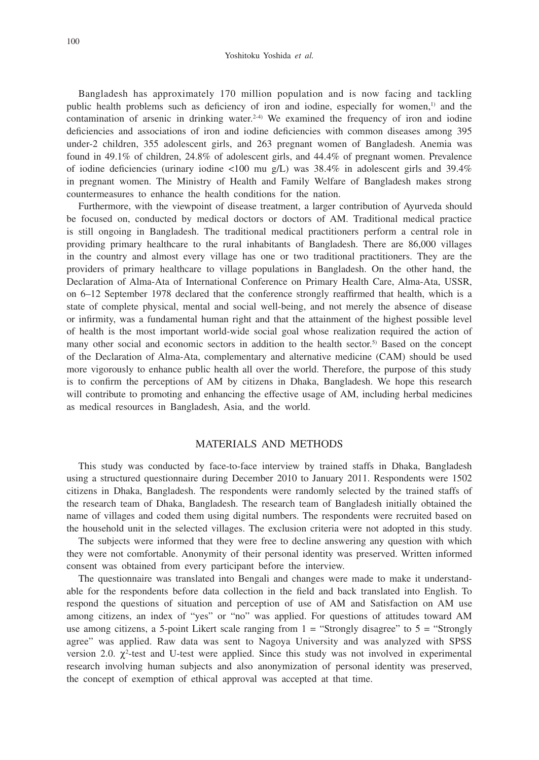Bangladesh has approximately 170 million population and is now facing and tackling public health problems such as deficiency of iron and iodine, especially for women,<sup>1)</sup> and the contamination of arsenic in drinking water.<sup>2-4)</sup> We examined the frequency of iron and iodine deficiencies and associations of iron and iodine deficiencies with common diseases among 395 under-2 children, 355 adolescent girls, and 263 pregnant women of Bangladesh. Anemia was found in 49.1% of children, 24.8% of adolescent girls, and 44.4% of pregnant women. Prevalence of iodine deficiencies (urinary iodine  $\langle 100 \text{ mu g/L} \rangle$  was 38.4% in adolescent girls and 39.4% in pregnant women. The Ministry of Health and Family Welfare of Bangladesh makes strong countermeasures to enhance the health conditions for the nation.

Furthermore, with the viewpoint of disease treatment, a larger contribution of Ayurveda should be focused on, conducted by medical doctors or doctors of AM. Traditional medical practice is still ongoing in Bangladesh. The traditional medical practitioners perform a central role in providing primary healthcare to the rural inhabitants of Bangladesh. There are 86,000 villages in the country and almost every village has one or two traditional practitioners. They are the providers of primary healthcare to village populations in Bangladesh. On the other hand, the Declaration of Alma-Ata of International Conference on Primary Health Care, Alma-Ata, USSR, on 6–12 September 1978 declared that the conference strongly reaffirmed that health, which is a state of complete physical, mental and social well-being, and not merely the absence of disease or infirmity, was a fundamental human right and that the attainment of the highest possible level of health is the most important world-wide social goal whose realization required the action of many other social and economic sectors in addition to the health sector.<sup>5)</sup> Based on the concept of the Declaration of Alma-Ata, complementary and alternative medicine (CAM) should be used more vigorously to enhance public health all over the world. Therefore, the purpose of this study is to confirm the perceptions of AM by citizens in Dhaka, Bangladesh. We hope this research will contribute to promoting and enhancing the effective usage of AM, including herbal medicines as medical resources in Bangladesh, Asia, and the world.

#### MATERIALS AND METHODS

This study was conducted by face-to-face interview by trained staffs in Dhaka, Bangladesh using a structured questionnaire during December 2010 to January 2011. Respondents were 1502 citizens in Dhaka, Bangladesh. The respondents were randomly selected by the trained staffs of the research team of Dhaka, Bangladesh. The research team of Bangladesh initially obtained the name of villages and coded them using digital numbers. The respondents were recruited based on the household unit in the selected villages. The exclusion criteria were not adopted in this study.

The subjects were informed that they were free to decline answering any question with which they were not comfortable. Anonymity of their personal identity was preserved. Written informed consent was obtained from every participant before the interview.

The questionnaire was translated into Bengali and changes were made to make it understandable for the respondents before data collection in the field and back translated into English. To respond the questions of situation and perception of use of AM and Satisfaction on AM use among citizens, an index of "yes" or "no" was applied. For questions of attitudes toward AM use among citizens, a 5-point Likert scale ranging from  $1 =$  "Strongly disagree" to  $5 =$  "Strongly agree" was applied. Raw data was sent to Nagoya University and was analyzed with SPSS version 2.0.  $\chi^2$ -test and U-test were applied. Since this study was not involved in experimental research involving human subjects and also anonymization of personal identity was preserved, the concept of exemption of ethical approval was accepted at that time.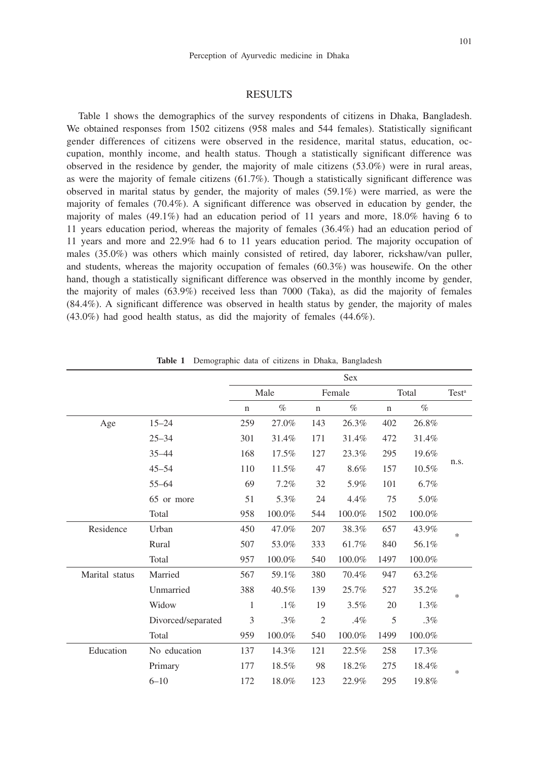### RESULTS

Table 1 shows the demographics of the survey respondents of citizens in Dhaka, Bangladesh. We obtained responses from 1502 citizens (958 males and 544 females). Statistically significant gender differences of citizens were observed in the residence, marital status, education, occupation, monthly income, and health status. Though a statistically significant difference was observed in the residence by gender, the majority of male citizens (53.0%) were in rural areas, as were the majority of female citizens (61.7%). Though a statistically significant difference was observed in marital status by gender, the majority of males (59.1%) were married, as were the majority of females (70.4%). A significant difference was observed in education by gender, the majority of males  $(49.1\%)$  had an education period of 11 years and more, 18.0% having 6 to 11 years education period, whereas the majority of females (36.4%) had an education period of 11 years and more and 22.9% had 6 to 11 years education period. The majority occupation of males (35.0%) was others which mainly consisted of retired, day laborer, rickshaw/van puller, and students, whereas the majority occupation of females (60.3%) was housewife. On the other hand, though a statistically significant difference was observed in the monthly income by gender, the majority of males (63.9%) received less than 7000 (Taka), as did the majority of females (84.4%). A significant difference was observed in health status by gender, the majority of males (43.0%) had good health status, as did the majority of females (44.6%).

|                |                    | <b>Sex</b>   |        |                |        |             |                   |        |  |  |
|----------------|--------------------|--------------|--------|----------------|--------|-------------|-------------------|--------|--|--|
|                |                    |              | Male   |                | Female | Total       | Test <sup>a</sup> |        |  |  |
|                |                    | $\mathbf n$  | $\%$   | $\mathbf n$    | $\%$   | $\mathbf n$ | $\%$              |        |  |  |
| Age            | $15 - 24$          | 259          | 27.0%  | 143            | 26.3%  | 402         | 26.8%             |        |  |  |
|                | $25 - 34$          | 301          | 31.4%  | 171            | 31.4%  | 472         | 31.4%             |        |  |  |
|                | $35 - 44$          | 168          | 17.5%  | 127            | 23.3%  | 295         | 19.6%             |        |  |  |
|                | $45 - 54$          | 110          | 11.5%  | 47             | 8.6%   | 157         | 10.5%             | n.s.   |  |  |
|                | $55 - 64$          | 69           | 7.2%   | 32             | 5.9%   | 101         | 6.7%              |        |  |  |
|                | 65 or more         | 51           | 5.3%   | 24             | 4.4%   | 75          | 5.0%              |        |  |  |
|                | Total              | 958          | 100.0% | 544            | 100.0% | 1502        | 100.0%            |        |  |  |
| Residence      | Urban              | 450          | 47.0%  | 207            | 38.3%  | 657         | 43.9%             | $\ast$ |  |  |
|                | Rural              | 507          | 53.0%  | 333            | 61.7%  | 840         | 56.1%             |        |  |  |
|                | Total              | 957          | 100.0% | 540            | 100.0% | 1497        | 100.0%            |        |  |  |
| Marital status | Married            | 567          | 59.1%  | 380            | 70.4%  | 947         | 63.2%             |        |  |  |
|                | Unmarried          | 388          | 40.5%  | 139            | 25.7%  | 527         | 35.2%             | *      |  |  |
|                | Widow              | $\mathbf{1}$ | $.1\%$ | 19             | 3.5%   | 20          | 1.3%              |        |  |  |
|                | Divorced/separated | 3            | $.3\%$ | $\mathfrak{2}$ | .4%    | 5           | $.3\%$            |        |  |  |
|                | Total              | 959          | 100.0% | 540            | 100.0% | 1499        | 100.0%            |        |  |  |
| Education      | No education       | 137          | 14.3%  | 121            | 22.5%  | 258         | 17.3%             |        |  |  |
|                | Primary            | 177          | 18.5%  | 98             | 18.2%  | 275         | 18.4%             | ∗      |  |  |
|                | $6 - 10$           | 172          | 18.0%  | 123            | 22.9%  | 295         | 19.8%             |        |  |  |

**Table 1** Demographic data of citizens in Dhaka, Bangladesh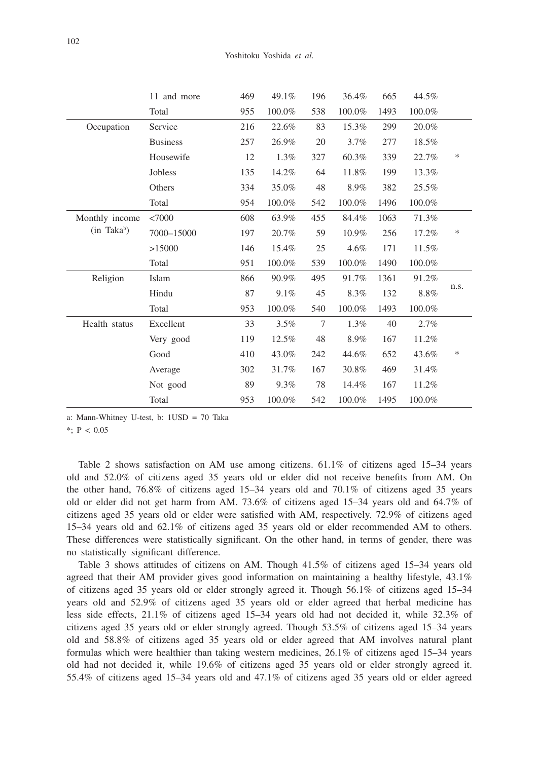|                       | 11 and more     | 469 | 49.1%  | 196    | 36.4%   | 665  | 44.5%  |        |  |
|-----------------------|-----------------|-----|--------|--------|---------|------|--------|--------|--|
|                       | Total           | 955 | 100.0% | 538    | 100.0%  | 1493 | 100.0% |        |  |
| Occupation            | Service         | 216 | 22.6%  | 83     | 15.3%   | 299  | 20.0%  |        |  |
|                       | <b>Business</b> | 257 | 26.9%  | 20     | 3.7%    | 277  | 18.5%  |        |  |
|                       | Housewife       | 12  | 1.3%   | 327    | 60.3%   | 339  | 22.7%  | $\ast$ |  |
|                       | Jobless         | 135 | 14.2%  | 64     | 11.8%   | 199  | 13.3%  |        |  |
|                       | Others          | 334 | 35.0%  | 48     | 8.9%    | 382  | 25.5%  |        |  |
|                       | Total           | 954 | 100.0% | 542    | 100.0%  | 1496 | 100.0% |        |  |
| Monthly income        | <7000           | 608 | 63.9%  | 455    | 84.4%   | 1063 | 71.3%  |        |  |
| $(in$ Taka $\delta$ ) | 7000-15000      | 197 | 20.7%  | 59     | 10.9%   | 256  | 17.2%  | $\ast$ |  |
|                       | >15000          | 146 | 15.4%  | 25     | 4.6%    | 171  | 11.5%  |        |  |
|                       | Total           | 951 | 100.0% | 539    | 100.0%  | 1490 | 100.0% |        |  |
| Religion              | Islam           | 866 | 90.9%  | 495    | 91.7%   | 1361 | 91.2%  |        |  |
|                       | Hindu           | 87  | 9.1%   | 45     | 8.3%    | 132  | 8.8%   | n.s.   |  |
|                       | Total           | 953 | 100.0% | 540    | 100.0%  | 1493 | 100.0% |        |  |
| Health status         | Excellent       | 33  | 3.5%   | $\tau$ | $1.3\%$ | 40   | 2.7%   |        |  |
|                       | Very good       | 119 | 12.5%  | 48     | 8.9%    | 167  | 11.2%  |        |  |
|                       | Good            | 410 | 43.0%  | 242    | 44.6%   | 652  | 43.6%  | ∗      |  |
|                       | Average         | 302 | 31.7%  | 167    | 30.8%   | 469  | 31.4%  |        |  |
|                       | Not good        | 89  | 9.3%   | 78     | 14.4%   | 167  | 11.2%  |        |  |
|                       | Total           | 953 | 100.0% | 542    | 100.0%  | 1495 | 100.0% |        |  |

a: Mann-Whitney U-test, b: 1USD = 70 Taka

\*; P < 0.05

Table 2 shows satisfaction on AM use among citizens.  $61.1\%$  of citizens aged 15–34 years old and 52.0% of citizens aged 35 years old or elder did not receive benefits from AM. On the other hand, 76.8% of citizens aged 15–34 years old and 70.1% of citizens aged 35 years old or elder did not get harm from AM. 73.6% of citizens aged 15–34 years old and 64.7% of citizens aged 35 years old or elder were satisfied with AM, respectively. 72.9% of citizens aged 15–34 years old and 62.1% of citizens aged 35 years old or elder recommended AM to others. These differences were statistically significant. On the other hand, in terms of gender, there was no statistically significant difference.

Table 3 shows attitudes of citizens on AM. Though 41.5% of citizens aged 15–34 years old agreed that their AM provider gives good information on maintaining a healthy lifestyle, 43.1% of citizens aged 35 years old or elder strongly agreed it. Though 56.1% of citizens aged 15–34 years old and 52.9% of citizens aged 35 years old or elder agreed that herbal medicine has less side effects, 21.1% of citizens aged 15–34 years old had not decided it, while 32.3% of citizens aged 35 years old or elder strongly agreed. Though 53.5% of citizens aged 15–34 years old and 58.8% of citizens aged 35 years old or elder agreed that AM involves natural plant formulas which were healthier than taking western medicines, 26.1% of citizens aged 15–34 years old had not decided it, while 19.6% of citizens aged 35 years old or elder strongly agreed it. 55.4% of citizens aged 15–34 years old and 47.1% of citizens aged 35 years old or elder agreed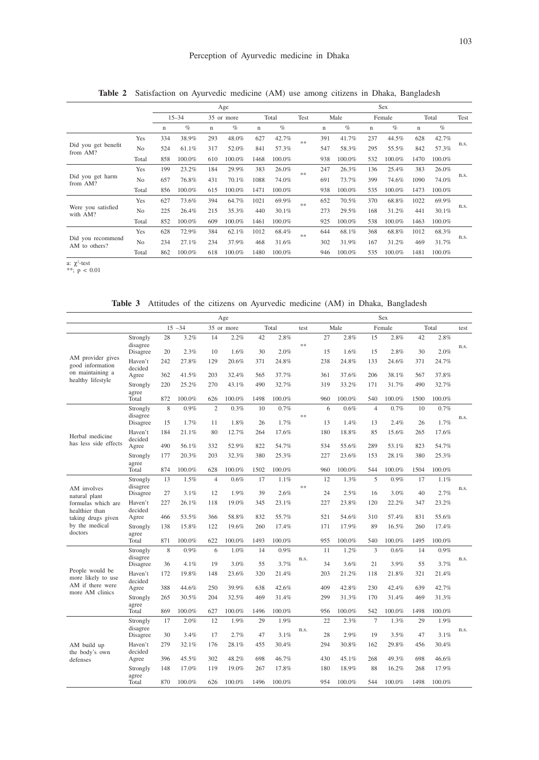|                                    |                |           |        | Age         | <b>Sex</b> |             |        |      |             |        |             |        |             |        |      |
|------------------------------------|----------------|-----------|--------|-------------|------------|-------------|--------|------|-------------|--------|-------------|--------|-------------|--------|------|
|                                    |                | $15 - 34$ |        | 35 or more  |            | Total       |        | Test | Male        |        | Female      |        | Total       |        | Test |
|                                    |                | n         | $\%$   | $\mathbf n$ | $\%$       | $\mathbf n$ | $\%$   |      | $\mathbf n$ | $\%$   | $\mathbf n$ | $\%$   | $\mathbf n$ | $\%$   |      |
|                                    | Yes            | 334       | 38.9%  | 293         | 48.0%      | 627         | 42.7%  | $**$ | 391         | 41.7%  | 237         | 44.5%  | 628         | 42.7%  |      |
| Did you get benefit<br>from AM?    | N <sub>o</sub> | 524       | 61.1%  | 317         | 52.0%      | 841         | 57.3%  |      | 547         | 58.3%  | 295         | 55.5%  | 842         | 57.3%  | n.s. |
|                                    | Total          | 858       | 100.0% | 610         | 100.0%     | 1468        | 100.0% |      | 938         | 100.0% | 532         | 100.0% | 1470        | 100.0% |      |
|                                    | Yes            | 199       | 23.2%  | 184         | 29.9%      | 383         | 26.0%  | $**$ | 247         | 26.3%  | 136         | 25.4%  | 383         | 26.0%  |      |
| Did you get harm<br>from AM?       | N <sub>o</sub> | 657       | 76.8%  | 431         | 70.1%      | 1088        | 74.0%  |      | 691         | 73.7%  | 399         | 74.6%  | 1090        | 74.0%  | n.s. |
|                                    | Total          | 856       | 100.0% | 615         | 100.0%     | 1471        | 100.0% |      | 938         | 100.0% | 535         | 100.0% | 1473        | 100.0% |      |
|                                    | Yes            | 627       | 73.6%  | 394         | 64.7%      | 1021        | 69.9%  | $**$ | 652         | 70.5%  | 370         | 68.8%  | 1022        | 69.9%  |      |
| Were you satisfied<br>with AM?     | N <sub>o</sub> | 225       | 26.4%  | 215         | 35.3%      | 440         | 30.1%  |      | 273         | 29.5%  | 168         | 31.2%  | 441         | 30.1%  | n.s. |
|                                    | Total          | 852       | 100.0% | 609         | 100.0%     | 1461        | 100.0% |      | 925         | 100.0% | 538         | 100.0% | 1463        | 100.0% |      |
| Did you recommend<br>AM to others? | Yes            | 628       | 72.9%  | 384         | 62.1%      | 1012        | 68.4%  | $**$ | 644         | 68.1%  | 368         | 68.8%  | 1012        | 68.3%  |      |
|                                    | N <sub>o</sub> | 234       | 27.1%  | 234         | 37.9%      | 468         | 31.6%  |      | 302         | 31.9%  | 167         | 31.2%  | 469         | 31.7%  | n.s. |
|                                    | Total          | 862       | 100.0% | 618         | 100.0%     | 1480        | 100.0% |      | 946         | 100.0% | 535         | 100.0% | 1481        | 100.0% |      |

**Table 2** Satisfaction on Ayurvedic medicine (AM) use among citizens in Dhaka, Bangladesh

a:  $\chi^2$ -test<br>\*\*; p < 0.01

**Table 3** Attitudes of the citizens on Ayurvedic medicine (AM) in Dhaka, Bangladesh

|                                        | Age                  |           |                         |                |               |           |               |      |           | Sex           |                |               |           |               |      |  |  |
|----------------------------------------|----------------------|-----------|-------------------------|----------------|---------------|-----------|---------------|------|-----------|---------------|----------------|---------------|-----------|---------------|------|--|--|
|                                        |                      |           | $15 - 34$<br>35 or more |                | Total         |           | test          | Male |           | Female        |                | Total         |           | test          |      |  |  |
|                                        | Strongly             | 28        | 3.2%                    | 14             | 2.2%          | 42        | 2.8%          | $**$ | 27        | 2.8%          | 15             | 2.8%          | 42        | 2.8%          |      |  |  |
|                                        | disagree<br>Disagree | 20        | 2.3%                    | 10             | 1.6%          | 30        | 2.0%          |      | 15        | 1.6%          | 15             | 2.8%          | 30        | 2.0%          | n.s. |  |  |
| AM provider gives<br>good information  | Haven't              | 242       | 27.8%                   | 129            | 20.6%         | 371       | 24.8%         |      | 238       | 24.8%         | 133            | 24.6%         | 371       | 24.7%         |      |  |  |
| on maintaining a                       | decided<br>Agree     | 362       | 41.5%                   | 203            | 32.4%         | 565       | 37.7%         |      | 361       | 37.6%         | 206            | 38.1%         | 567       | 37.8%         |      |  |  |
| healthy lifestyle                      | Strongly             | 220       | 25.2%                   | 270            | 43.1%         | 490       | 32.7%         |      | 319       | 33.2%         | 171            | 31.7%         | 490       | 32.7%         |      |  |  |
|                                        | agree<br>Total       | 872       | 100.0%                  | 626            | 100.0%        | 1498      | 100.0%        |      | 960       | 100.0%        | 540            | 100.0%        | 1500      | 100.0%        |      |  |  |
|                                        | Strongly             | 8         | 0.9%                    | $\overline{c}$ | 0.3%          | 10        | 0.7%          |      | 6         | 0.6%          | $\overline{4}$ | 0.7%          | 10        | 0.7%          |      |  |  |
|                                        | disagree<br>Disagree | 15        | 1.7%                    | 11             | 1.8%          | 26        | 1.7%          | $**$ | 13        | 1.4%          | 13             | 2.4%          | 26        | 1.7%          | n.s. |  |  |
| Herbal medicine                        | Haven't              | 184       | 21.1%                   | 80             | 12.7%         | 264       | 17.6%         |      | 180       | 18.8%         | 85             | 15.6%         | 265       | 17.6%         |      |  |  |
| has less side effects                  | decided<br>Agree     | 490       | 56.1%                   | 332            | 52.9%         | 822       | 54.7%         |      | 534       | 55.6%         | 289            | 53.1%         | 823       | 54.7%         |      |  |  |
|                                        | Strongly             | 177       | 20.3%                   | 203            | 32.3%         | 380       | 25.3%         |      | 227       | 23.6%         | 153            | 28.1%         | 380       | 25.3%         |      |  |  |
|                                        | agree<br>Total       | 874       | 100.0%                  | 628            | 100.0%        | 1502      | 100.0%        |      | 960       | 100.0%        | 544            | 100.0%        | 1504      | 100.0%        |      |  |  |
|                                        | Strongly             | 13        | 1.5%                    | $\overline{4}$ | 0.6%          | 17        | 1.1%          |      | 12        | 1.3%          | 5              | 0.9%          | 17        | 1.1%          |      |  |  |
| AM involves                            | disagree<br>Disagree | 27        | 3.1%                    | 12             | 1.9%          | 39        | 2.6%          | **   | 24        | 2.5%          | 16             | 3.0%          | 40        | 2.7%          | n.s. |  |  |
| natural plant<br>formulas which are    | Haven't              | 227       | 26.1%                   | 118            | 19.0%         | 345       | 23.1%         |      | 227       | 23.8%         | 120            | 22.2%         | 347       | 23.2%         |      |  |  |
| healthier than                         | decided<br>Agree     | 466       | 53.5%                   | 366            | 58.8%         | 832       | 55.7%         |      | 521       | 54.6%         | 310            | 57.4%         | 831       | 55.6%         |      |  |  |
| taking drugs given<br>by the medical   | Strongly             | 138       | 15.8%                   | 122            | 19.6%         | 260       | 17.4%         |      | 171       | 17.9%         | 89             | 16.5%         | 260       | 17.4%         |      |  |  |
| doctors                                | agree<br>Total       | 871       | 100.0%                  | 622            | 100.0%        | 1493      | 100.0%        |      | 955       | 100.0%        | 540            | 100.0%        | 1495      | 100.0%        |      |  |  |
|                                        | Strongly             | 8         | 0.9%                    | 6              | 1.0%          | 14        | 0.9%          |      | 11        | 1.2%          | 3              | 0.6%          | 14        | 0.9%          |      |  |  |
|                                        | disagree             |           |                         |                |               |           |               | n.s. |           |               |                |               |           |               | n.s. |  |  |
| People would be                        | Disagree<br>Haven't  | 36<br>172 | 4.1%<br>19.8%           | 19<br>148      | 3.0%<br>23.6% | 55<br>320 | 3.7%<br>21.4% |      | 34<br>203 | 3.6%<br>21.2% | 21<br>118      | 3.9%<br>21.8% | 55<br>321 | 3.7%<br>21.4% |      |  |  |
| more likely to use<br>AM if there were | decided              |           |                         |                |               |           |               |      |           |               |                |               |           |               |      |  |  |
| more AM clinics                        | Agree                | 388       | 44.6%                   | 250            | 39.9%         | 638       | 42.6%         |      | 409       | 42.8%         | 230            | 42.4%         | 639       | 42.7%         |      |  |  |
|                                        | Strongly<br>agree    | 265       | 30.5%                   | 204            | 32.5%         | 469       | 31.4%         |      | 299       | 31.3%         | 170            | 31.4%         | 469       | 31.3%         |      |  |  |
|                                        | Total                | 869       | 100.0%                  | 627            | 100.0%        | 1496      | 100.0%        |      | 956       | 100.0%        | 542            | 100.0%        | 1498      | 100.0%        |      |  |  |
|                                        | Strongly<br>disagree | 17        | 2.0%                    | 12             | 1.9%          | 29        | 1.9%          | n.s. | 22        | 2.3%          | $\overline{7}$ | 1.3%          | 29        | 1.9%          | n.s. |  |  |
|                                        | Disagree             | 30        | 3.4%                    | 17             | 2.7%          | 47        | 3.1%          |      | 28        | 2.9%          | 19             | 3.5%          | 47        | 3.1%          |      |  |  |
| AM build up<br>the body's own          | Haven't<br>decided   | 279       | 32.1%                   | 176            | 28.1%         | 455       | 30.4%         |      | 294       | 30.8%         | 162            | 29.8%         | 456       | 30.4%         |      |  |  |
| defenses                               | Agree                | 396       | 45.5%                   | 302            | 48.2%         | 698       | 46.7%         |      | 430       | 45.1%         | 268            | 49.3%         | 698       | 46.6%         |      |  |  |
|                                        | Strongly<br>agree    | 148       | 17.0%                   | 119            | 19.0%         | 267       | 17.8%         |      | 180       | 18.9%         | 88             | 16.2%         | 268       | 17.9%         |      |  |  |
|                                        | Total                | 870       | 100.0%                  | 626            | 100.0%        | 1496      | 100.0%        |      | 954       | 100.0%        | 544            | 100.0%        | 1498      | 100.0%        |      |  |  |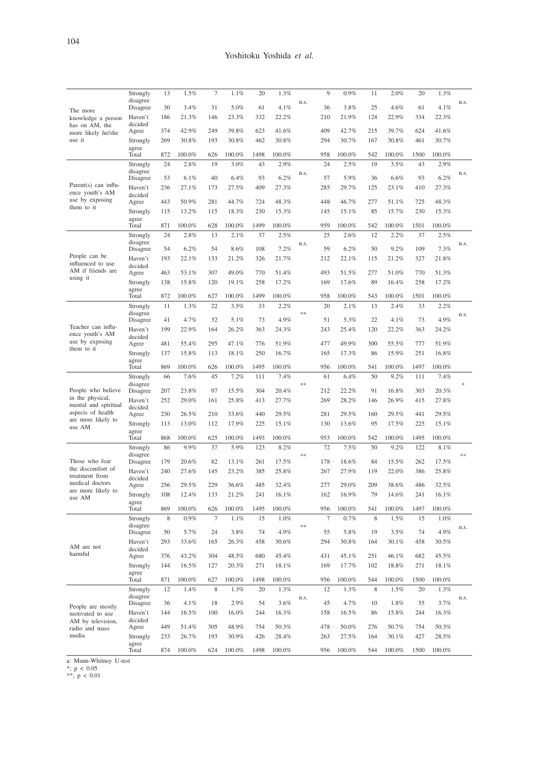| The more<br>knowledge a person<br>has on AM, the | Strongly             | 13         | 1.5%           | $\tau$         | 1.1%           | 20         | 1.3%           |      | 9              | 0.9%           | 11         | 2.0%           | 20         | 1.3%           |      |
|--------------------------------------------------|----------------------|------------|----------------|----------------|----------------|------------|----------------|------|----------------|----------------|------------|----------------|------------|----------------|------|
|                                                  | disagree<br>Disagree | 30         | 3.4%           | 31             | 5.0%           | 61         | 4.1%           | n.s. | 36             | 3.8%           | 25         | 4.6%           | 61         | 4.1%           | n.s. |
|                                                  | Haven't              | 186        | 21.3%          | 146            | 23.3%          | 332        | 22.2%          |      | 210            | 21.9%          | 124        | 22.9%          | 334        | 22.3%          |      |
|                                                  | decided<br>Agree     | 374        | 42.9%          | 249            | 39.8%          | 623        | 41.6%          |      | 409            | 42.7%          | 215        | 39.7%          | 624        | 41.6%          |      |
| more likely he/she<br>use it                     | Strongly             | 269        | 30.8%          | 193            | 30.8%          | 462        | 30.8%          |      | 294            | 30.7%          | 167        | 30.8%          | 461        | 30.7%          |      |
|                                                  | agree<br>Total       | 872        | 100.0%         | 626            | 100.0%         | 1498       | 100.0%         |      | 958            | 100.0%         | 542        | 100.0%         | 1500       | 100.0%         |      |
|                                                  | Strongly             | 24         | 2.8%           | 19             | 3.0%           | 43         | 2.9%           |      | 24             | 2.5%           | 19         | 3.5%           | 43         | 2.9%           |      |
|                                                  | disagree             |            |                |                |                |            |                | n.s. |                |                |            |                |            |                | n.s. |
| Parent(s) can influ-                             | Disagree             | 53<br>236  | 6.1%<br>27.1%  | 40<br>173      | 6.4%<br>27.5%  | 93<br>409  | 6.2%           |      | 57<br>285      | 5.9%<br>29.7%  | 36<br>125  | 6.6%<br>23.1%  | 93<br>410  | 6.2%           |      |
| ence youth's AM                                  | Haven't<br>decided   |            |                |                |                |            | 27.3%          |      |                |                |            |                |            | 27.3%          |      |
| use by exposing<br>them to it                    | Agree                | 443        | 50.9%          | 281            | 44.7%          | 724        | 48.3%          |      | 448            | 46.7%          | 277        | 51.1%          | 725        | 48.3%          |      |
|                                                  | Strongly<br>agree    | 115        | 13.2%          | 115            | 18.3%          | 230        | 15.3%          |      | 145            | 15.1%          | 85         | 15.7%          | 230        | 15.3%          |      |
|                                                  | Total                | 871        | 100.0%         | 628            | 100.0%         | 1499       | 100.0%         |      | 959            | 100.0%         | 542        | 100.0%         | 1501       | 100.0%         |      |
|                                                  | Strongly<br>disagree | 24         | 2.8%           | 13             | 2.1%           | 37         | 2.5%           |      | 25             | 2.6%           | 12         | 2.2%           | 37         | 2.5%           |      |
|                                                  | Disagree             | 54         | 6.2%           | 54             | 8.6%           | 108        | 7.2%           | n.s. | 59             | 6.2%           | 50         | 9.2%           | 109        | 7.3%           | n.s. |
| People can be<br>influenced to use               | Haven't              | 193        | 22.1%          | 133            | 21.2%          | 326        | 21.7%          |      | 212            | 22.1%          | 115        | 21.2%          | 327        | 21.8%          |      |
| AM if friends are                                | decided<br>Agree     | 463        | 53.1%          | 307            | 49.0%          | 770        | 51.4%          |      | 493            | 51.5%          | 277        | 51.0%          | 770        | 51.3%          |      |
| using it                                         | Strongly             | 138        | 15.8%          | 120            | 19.1%          | 258        | 17.2%          |      | 169            | 17.6%          | 89         | 16.4%          | 258        | 17.2%          |      |
|                                                  | agree<br>Total       | 872        | 100.0%         | 627            | 100.0%         | 1499       | 100.0%         |      | 958            | 100.0%         | 543        | 100.0%         | 1501       | 100.0%         |      |
|                                                  | Strongly             | 11         | 1.3%           | 22             | 3.5%           | 33         | 2.2%           |      | 20             | 2.1%           | 13         | 2.4%           | 33         | 2.2%           |      |
|                                                  | disagree             |            |                |                |                |            |                | $**$ |                |                |            |                |            |                | n.s. |
| Teacher can influ-                               | Disagree<br>Haven't  | 41<br>199  | 4.7%<br>22.9%  | 32<br>164      | 5.1%<br>26.2%  | 73<br>363  | 4.9%<br>24.3%  |      | 51<br>243      | 5.3%<br>25.4%  | 22<br>120  | 4.1%<br>22.2%  | 73<br>363  | 4.9%<br>24.2%  |      |
| ence youth's AM                                  | decided              |            |                |                |                |            |                |      |                |                |            |                |            |                |      |
| use by exposing<br>them to it                    | Agree                | 481        | 55.4%          | 295            | 47.1%          | 776        | 51.9%          |      | 477            | 49.9%          | 300        | 55.5%          | 777        | 51.9%          |      |
|                                                  | Strongly<br>agree    | 137        | 15.8%          | 113            | 18.1%          | 250        | 16.7%          |      | 165            | 17.3%          | 86         | 15.9%          | 251        | 16.8%          |      |
|                                                  | Total                | 869        | $100.0\%$      | 626            | 100.0%         | 1495       | 100.0%         |      | 956            | 100.0%         | 541        | 100.0%         | 1497       | 100.0%         |      |
|                                                  | Strongly<br>disagree | 66         | 7.6%           | 45             | 7.2%           | 111        | 7.4%           | $**$ | 61             | 6.4%           | 50         | 9.2%           | 111        | 7.4%           |      |
| People who believe                               | Disagree             | 207        | 23.8%          | 97             | 15.5%          | 304        | 20.4%          |      | 212            | 22.2%          | 91         | 16.8%          | 303        | 20.3%          |      |
| in the physical,<br>mental and spiritual         | Haven't              | 252        | 29.0%          | 161            | 25.8%          | 413        | 27.7%          |      | 269            | 28.2%          | 146        | 26.9%          | 415        | 27.8%          |      |
| aspects of health                                | decided<br>Agree     | 230        | 26.5%          | 210            | 33.6%          | 440        | 29.5%          |      | 281            | 29.5%          | 160        | 29.5%          | 441        | 29.5%          |      |
| are more likely to<br>use AM                     | Strongly             | 113        | 13.0%          | 112            | 17.9%          | 225        | 15.1%          |      | 130            | 13.6%          | 95         | 17.5%          | 225        | 15.1%          |      |
|                                                  | agree<br>Total       | 868        | 100.0%         | 625            | 100.0%         | 1493       | 100.0%         |      | 953            | 100.0%         | 542        | 100.0%         | 1495       | 100.0%         |      |
|                                                  | Strongly             | 86         | 9.9%           | 37             | 5.9%           | 123        | 8.2%           |      | 72             | 7.5%           | 50         | 9.2%           | 122        | 8.1%           |      |
| Those who fear                                   | disagree             | 179        | 20.6%          | 82             | 13.1%          | 261        | 17.5%          | **   | 178            | 18.6%          | 84         | 15.5%          | 262        | 17.5%          | $**$ |
| the discomfort of                                | Disagree<br>Haven't  | 240        | 27.6%          | 145            | 23.2%          | 385        | 25.8%          |      | 267            | 27.9%          | 119        | 22.0%          | 386        | 25.8%          |      |
| treatment from<br>medical doctors                | decided              |            |                |                |                |            |                |      |                |                |            |                |            |                |      |
| are more likely to                               | Agree<br>Strongly    | 256<br>108 | 29.5%<br>12.4% | 229<br>133     | 36.6%<br>21.2% | 485<br>241 | 32.4%<br>16.1% |      | 277<br>162     | 29.0%<br>16.9% | 209<br>79  | 38.6%<br>14.6% | 486<br>241 | 32.5%<br>16.1% |      |
| use AM                                           | agree                |            |                |                |                |            |                |      |                |                |            |                |            |                |      |
|                                                  | Total                | 869        | 100.0%         | 626            | 100.0%         | 1495       | 100.0%         |      | 956            | 100.0%         | 541        | 100.0%         | 1497       | 100.0%         |      |
|                                                  | Strongly<br>disagree | 8          | 0.9%           | $\overline{7}$ | 1.1%           | 15         | 1.0%           | **   | $\overline{7}$ | 0.7%           | 8          | 1.5%           | 15         | 1.0%           | n.s. |
|                                                  | Disagree             | 50         | 5.7%           | 24             | 3.8%           | 74         | 4.9%           |      | 55             | 5.8%           | 19         | 3.5%           | 74         | 4.9%           |      |
| AM are not                                       | Haven't<br>decided   | 293        | 33.6%          | 165            | 26.3%          | 458        | 30.6%          |      | 294            | 30.8%          | 164        | 30.1%          | 458        | 30.5%          |      |
| harmful                                          | Agree                | 376        | 43.2%          | 304            | 48.5%          | 680        | 45.4%          |      | 431            | 45.1%          | 251        | 46.1%          | 682        | 45.5%          |      |
|                                                  | Strongly             | 144        | 16.5%          | 127            | 20.3%          | 271        | 18.1%          |      | 169            | 17.7%          | 102        | 18.8%          | 271        | 18.1%          |      |
|                                                  | agree<br>Total       | 871        | 100.0%         | 627            | 100.0%         | 1498       | 100.0%         |      | 956            | 100.0%         | 544        | 100.0%         | 1500       | 100.0%         |      |
|                                                  | Strongly             | 12         | 1.4%           | 8              | 1.3%           | 20         | 1.3%           |      | 12             | 1.3%           | 8          | 1.5%           | 20         | 1.3%           |      |
|                                                  | disagree<br>Disagree | 36         | 4.1%           | 18             | 2.9%           | 54         | 3.6%           | n.s. | 45             | 4.7%           | 10         | 1.8%           | 55         | 3.7%           | n.s. |
| People are mostly<br>motivated to use            | Haven't              | 144        | 16.5%          | 100            | 16.0%          | 244        | 16.3%          |      | 158            | 16.5%          | 86         | 15.8%          | 244        | 16.3%          |      |
| AM by television,                                | decided              |            |                |                |                |            |                |      |                |                |            |                |            |                |      |
| radio and mass<br>media                          | Agree<br>Strongly    | 449<br>233 | 51.4%<br>26.7% | 305<br>193     | 48.9%<br>30.9% | 754<br>426 | 50.3%<br>28.4% |      | 478<br>263     | 50.0%<br>27.5% | 276<br>164 | 50.7%<br>30.1% | 754<br>427 | 50.3%<br>28.5% |      |
|                                                  | agree                |            |                |                |                |            |                |      |                |                |            |                |            |                |      |
|                                                  | Total                | 874        | 100.0%         | 624            | 100.0%         | 1498       | 100.0%         |      | 956            | 100.0%         | 544        | 100.0%         | 1500       | 100.0%         |      |

a: Mann-Whitney U-test \*; p < 0.05 \*\*; p < 0.01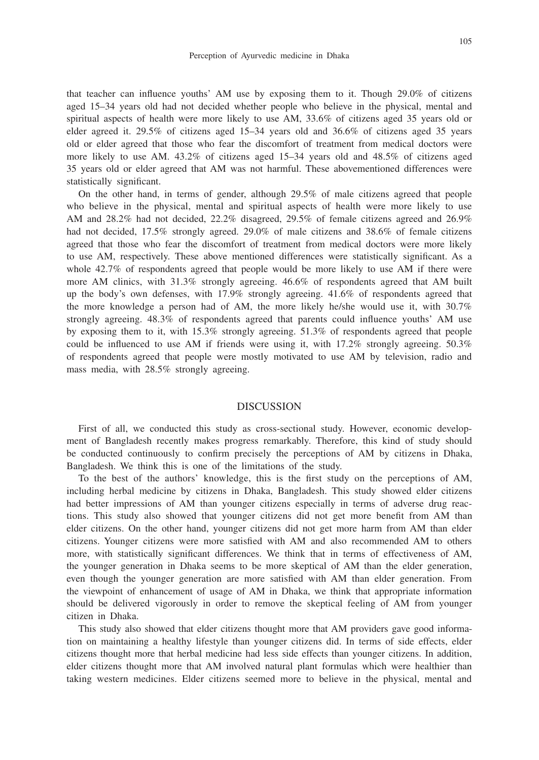105

that teacher can influence youths' AM use by exposing them to it. Though 29.0% of citizens aged 15–34 years old had not decided whether people who believe in the physical, mental and spiritual aspects of health were more likely to use AM, 33.6% of citizens aged 35 years old or elder agreed it. 29.5% of citizens aged 15–34 years old and 36.6% of citizens aged 35 years old or elder agreed that those who fear the discomfort of treatment from medical doctors were more likely to use AM. 43.2% of citizens aged 15–34 years old and 48.5% of citizens aged 35 years old or elder agreed that AM was not harmful. These abovementioned differences were statistically significant.

On the other hand, in terms of gender, although 29.5% of male citizens agreed that people who believe in the physical, mental and spiritual aspects of health were more likely to use AM and 28.2% had not decided, 22.2% disagreed, 29.5% of female citizens agreed and 26.9% had not decided, 17.5% strongly agreed. 29.0% of male citizens and 38.6% of female citizens agreed that those who fear the discomfort of treatment from medical doctors were more likely to use AM, respectively. These above mentioned differences were statistically significant. As a whole 42.7% of respondents agreed that people would be more likely to use AM if there were more AM clinics, with 31.3% strongly agreeing. 46.6% of respondents agreed that AM built up the body's own defenses, with 17.9% strongly agreeing. 41.6% of respondents agreed that the more knowledge a person had of AM, the more likely he/she would use it, with 30.7% strongly agreeing. 48.3% of respondents agreed that parents could influence youths' AM use by exposing them to it, with 15.3% strongly agreeing. 51.3% of respondents agreed that people could be influenced to use AM if friends were using it, with  $17.2\%$  strongly agreeing.  $50.3\%$ of respondents agreed that people were mostly motivated to use AM by television, radio and mass media, with 28.5% strongly agreeing.

#### DISCUSSION

First of all, we conducted this study as cross-sectional study. However, economic development of Bangladesh recently makes progress remarkably. Therefore, this kind of study should be conducted continuously to confirm precisely the perceptions of AM by citizens in Dhaka, Bangladesh. We think this is one of the limitations of the study.

To the best of the authors' knowledge, this is the first study on the perceptions of AM, including herbal medicine by citizens in Dhaka, Bangladesh. This study showed elder citizens had better impressions of AM than younger citizens especially in terms of adverse drug reactions. This study also showed that younger citizens did not get more benefit from AM than elder citizens. On the other hand, younger citizens did not get more harm from AM than elder citizens. Younger citizens were more satisfied with AM and also recommended AM to others more, with statistically significant differences. We think that in terms of effectiveness of AM, the younger generation in Dhaka seems to be more skeptical of AM than the elder generation, even though the younger generation are more satisfied with AM than elder generation. From the viewpoint of enhancement of usage of AM in Dhaka, we think that appropriate information should be delivered vigorously in order to remove the skeptical feeling of AM from younger citizen in Dhaka.

This study also showed that elder citizens thought more that AM providers gave good information on maintaining a healthy lifestyle than younger citizens did. In terms of side effects, elder citizens thought more that herbal medicine had less side effects than younger citizens. In addition, elder citizens thought more that AM involved natural plant formulas which were healthier than taking western medicines. Elder citizens seemed more to believe in the physical, mental and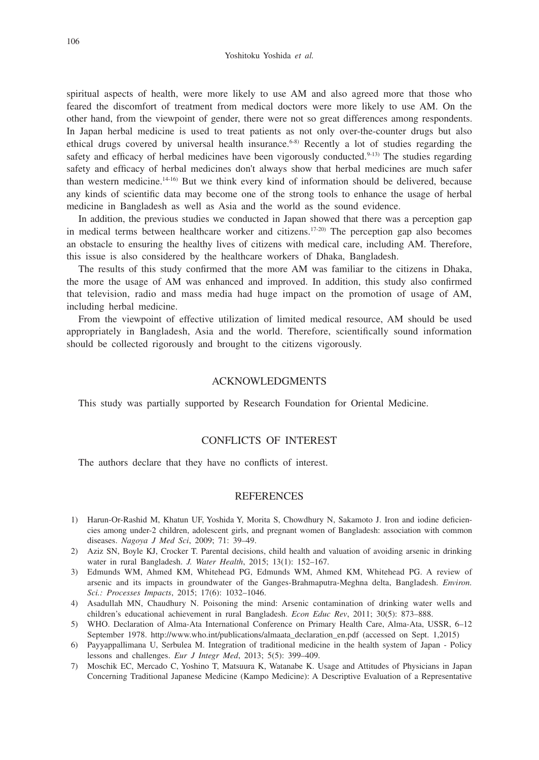spiritual aspects of health, were more likely to use AM and also agreed more that those who feared the discomfort of treatment from medical doctors were more likely to use AM. On the other hand, from the viewpoint of gender, there were not so great differences among respondents. In Japan herbal medicine is used to treat patients as not only over-the-counter drugs but also ethical drugs covered by universal health insurance.<sup> $6-8$ </sup> Recently a lot of studies regarding the safety and efficacy of herbal medicines have been vigorously conducted. $9-13$ ) The studies regarding safety and efficacy of herbal medicines don't always show that herbal medicines are much safer than western medicine.14-16) But we think every kind of information should be delivered, because any kinds of scientific data may become one of the strong tools to enhance the usage of herbal medicine in Bangladesh as well as Asia and the world as the sound evidence.

In addition, the previous studies we conducted in Japan showed that there was a perception gap in medical terms between healthcare worker and citizens.<sup>17-20)</sup> The perception gap also becomes an obstacle to ensuring the healthy lives of citizens with medical care, including AM. Therefore, this issue is also considered by the healthcare workers of Dhaka, Bangladesh.

The results of this study confirmed that the more AM was familiar to the citizens in Dhaka, the more the usage of AM was enhanced and improved. In addition, this study also confirmed that television, radio and mass media had huge impact on the promotion of usage of AM, including herbal medicine.

From the viewpoint of effective utilization of limited medical resource, AM should be used appropriately in Bangladesh, Asia and the world. Therefore, scientifically sound information should be collected rigorously and brought to the citizens vigorously.

### ACKNOWLEDGMENTS

This study was partially supported by Research Foundation for Oriental Medicine.

## CONFLICTS OF INTEREST

The authors declare that they have no conflicts of interest.

#### **REFERENCES**

- 1) Harun-Or-Rashid M, Khatun UF, Yoshida Y, Morita S, Chowdhury N, Sakamoto J. Iron and iodine deficiencies among under-2 children, adolescent girls, and pregnant women of Bangladesh: association with common diseases. *Nagoya J Med Sci*, 2009; 71: 39–49.
- 2) Aziz SN, Boyle KJ, Crocker T. Parental decisions, child health and valuation of avoiding arsenic in drinking water in rural Bangladesh. *J. Water Health*, 2015; 13(1): 152–167.
- 3) Edmunds WM, Ahmed KM, Whitehead PG, Edmunds WM, Ahmed KM, Whitehead PG. A review of arsenic and its impacts in groundwater of the Ganges-Brahmaputra-Meghna delta, Bangladesh. *Environ. Sci.: Processes Impacts*, 2015; 17(6): 1032–1046.
- 4) Asadullah MN, Chaudhury N. Poisoning the mind: Arsenic contamination of drinking water wells and children's educational achievement in rural Bangladesh. *Econ Educ Rev*, 2011; 30(5): 873–888.
- 5) WHO. Declaration of Alma-Ata International Conference on Primary Health Care, Alma-Ata, USSR, 6–12 September 1978. http://www.who.int/publications/almaata\_declaration\_en.pdf (accessed on Sept. 1,2015)
- 6) Payyappallimana U, Serbulea M. Integration of traditional medicine in the health system of Japan Policy lessons and challenges. *Eur J Integr Med*, 2013; 5(5): 399–409.
- 7) Moschik EC, Mercado C, Yoshino T, Matsuura K, Watanabe K. Usage and Attitudes of Physicians in Japan Concerning Traditional Japanese Medicine (Kampo Medicine): A Descriptive Evaluation of a Representative